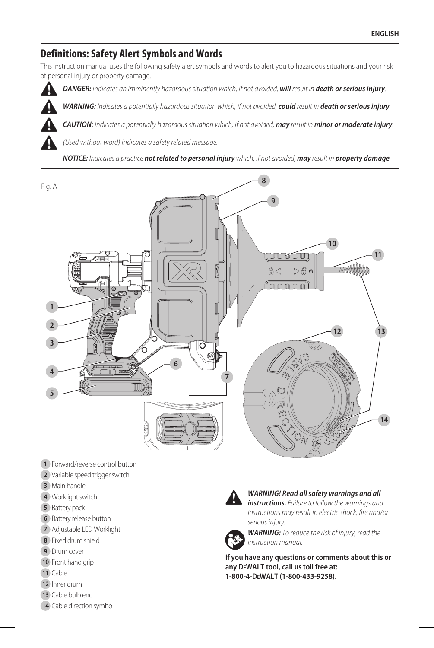## **Definitions: Safety Alert Symbols and Words**

This instruction manual uses the following safety alert symbols and words to alert you to hazardous situations and your risk of personal injury or property damage.<br> **DANGER:** Indicates an imminer



**DANGER:** Indicates an imminently hazardous situation which, if not avoided, will result in death or serious injury.

 $\frac{1}{\Lambda}$  $\mathbf{A}$  $\ddot{\textbf{A}}$ 

*WARNING: Indicates a potentially hazardous situation which, if not avoided, could result in death or serious injury.*

*CAUTION: Indicates a potentially hazardous situation which, if not avoided, may result in minor or moderate injury.*

*(Used without word) Indicates a safety related message.*

*NOTICE: Indicates a practice not related to personal injury which, if not avoided, may result in property damage.*



- **1** Forward/reverse control button
- **2** Variable speed trigger switch
- **3** Main handle
- **4** Worklight switch
- **5** Battery pack
- **6** Battery release button
- **7** Adjustable LED Worklight
- **8** Fixed drum shield
- **9** Drum cover
- **10** Front hand grip
- **11** Cable
- **12** Inner drum
- **13** Cable bulb end
- **14** Cable direction symbol

 $\blacktriangle$ 

**A WARNING! Read all safety warnings and all instructions.** Failure to follow the warnings and *instructions may result in electric shock, fire and/or serious injury.*



*WARNING: To reduce the risk of injury, read the instruction manual.*

**If you have any questions or comments about this or any DeWALT tool, call us toll free at: 1-800-4-DeWALT (1-800-433-9258).**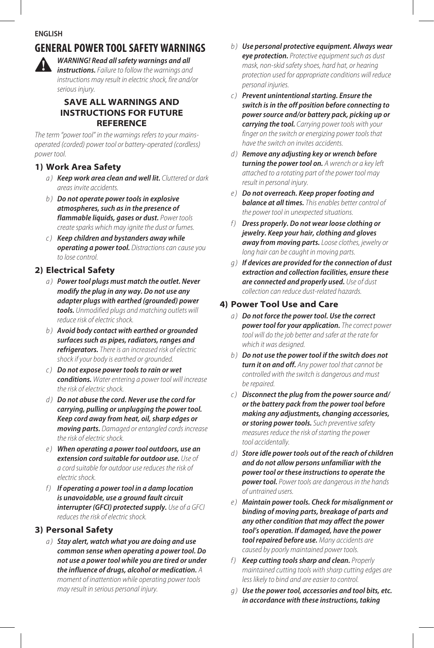## **GENERAL POWER TOOL SAFETY WARNINGS**

 $\mathbf{\hat{A}}$ 

**A WARNING! Read all safety warnings and all instructions.** Failure to follow the warnings and

*instructions may result in electric shock, fire and/or serious injury.*

### **SAVE ALL WARNINGS AND INSTRUCTIONS FOR FUTURE REFERENCE**

*The term "power tool" in the warnings refers to your mainsoperated (corded) power tool or battery-operated (cordless) power tool.*

## **1) Work Area Safety**

- *a ) Keep work area clean and well lit. Cluttered or dark areas invite accidents.*
- *b ) Do not operate power tools in explosive atmospheres, such as in the presence of flammable liquids, gases or dust. Power tools create sparks which may ignite the dust or fumes.*
- *c) Keep children and bystanders away while operating a power tool. Distractions can cause you to lose control.*

### **2) Electrical Safety**

- *a ) Power tool plugs must match the outlet. Never modify the plug in any way. Do not use any adapter plugs with earthed (grounded) power tools. Unmodified plugs and matching outlets will reduce risk of electric shock.*
- *b ) Avoid body contact with earthed or grounded surfaces such as pipes, radiators, ranges and refrigerators. There is an increased risk of electric shock if your body is earthed or grounded.*
- *c) Do not expose power tools to rain or wet conditions. Water entering a power tool will increase the risk of electric shock.*
- *d ) Do not abuse the cord. Never use the cord for carrying, pulling or unplugging the power tool. Keep cord away from heat, oil, sharp edges or moving parts. Damaged or entangled cords increase the risk of electric shock.*
- *e) When operating a power tool outdoors, use an extension cord suitable for outdoor use. Use of a cord suitable for outdoor use reduces the risk of electric shock.*
- *f ) If operating a power tool in a damp location is unavoidable, use a ground fault circuit interrupter (GFCI) protected supply. Use of a GFCI reduces the risk of electric shock.*

### **3) Personal Safety**

*a ) Stay alert, watch what you are doing and use common sense when operating a power tool. Do not use a power tool while you are tired or under the influence of drugs, alcohol or medication. A moment of inattention while operating power tools may result in serious personal injury.*

- *b ) Use personal protective equipment. Always wear eye protection. Protective equipment such as dust mask, non-skid safety shoes, hard hat, or hearing protection used for appropriate conditions will reduce personal injuries.*
- *c) Prevent unintentional starting. Ensure the switch is in the off position before connecting to power source and/or battery pack, picking up or carrying the tool. Carrying power tools with your finger on the switch or energizing power tools that have the switch on invites accidents.*
- *d ) Remove any adjusting key or wrench before turning the power tool on. A wrench or a key left attached to a rotating part of the power tool may result in personal injury.*
- *e) Do not overreach. Keep proper footing and balance at all times. This enables better control of the power tool in unexpected situations.*
- *f ) Dress properly. Do not wear loose clothing or jewelry. Keep your hair, clothing and gloves away from moving parts.Loose clothes, jewelry or long hair can be caught in moving parts.*
- *g ) If devices are provided for the connection of dust extraction and collection facilities, ensure these are connected and properly used. Use of dust collection can reduce dust-related hazards.*

## **4) Power Tool Use and Care**

- *a ) Do not force the power tool. Use the correct power tool for your application. The correct power tool will do the job better and safer at the rate for which it was designed.*
- *b ) Do not use the power tool if the switch does not turn it on and off. Any power tool that cannot be controlled with the switch is dangerous and must be repaired.*
- *c) Disconnect the plug from the power source and/ or the battery pack from the power tool before making any adjustments, changing accessories, or storing power tools. Such preventive safety measures reduce the risk of starting the power tool accidentally.*
- *d ) Store idle power tools out of the reach of children and do not allow persons unfamiliar with the power tool or these instructions to operate the power tool. Power tools are dangerous in the hands of untrained users.*
- *e) Maintain power tools. Check for misalignment or binding of moving parts, breakage of parts and any other condition that may affect the power tool's operation. If damaged, have the power tool repaired before use. Many accidents are caused by poorly maintained power tools.*
- *f ) Keep cutting tools sharp and clean. Properly maintained cutting tools with sharp cutting edges are less likely to bind and are easier to control.*
- *g ) Use the power tool, accessories and tool bits, etc. in accordance with these instructions, taking*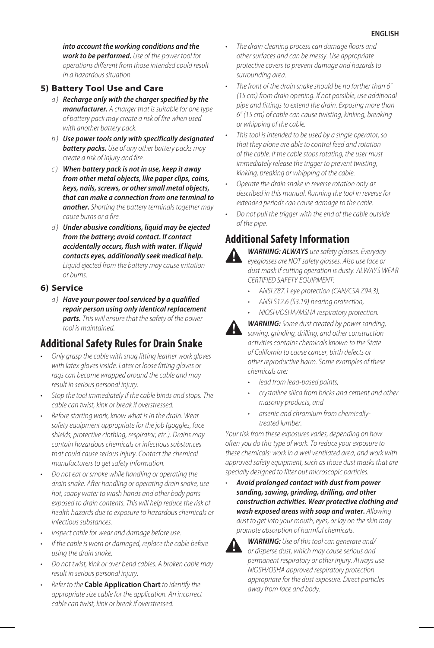*into account the working conditions and the work to be performed. Use of the power tool for operations different from those intended could result in a hazardous situation.*

### **5) Battery Tool Use and Care**

- *a ) Recharge only with the charger specified by the manufacturer. A charger that is suitable for one type of battery pack may create a risk of fire when used with another battery pack.*
- *b ) Use power tools only with specifically designated battery packs. Use of any other battery packs may create a risk of injury and fire.*
- *c) When battery pack is not in use, keep it away from other metal objects, like paper clips, coins, keys, nails, screws, or other small metal objects, that can make a connection from one terminal to another. Shorting the battery terminals together may cause burns or a fire.*
- *d ) Under abusive conditions, liquid may be ejected from the battery; avoid contact. If contact accidentally occurs, flush with water. If liquid contacts eyes, additionally seek medical help. Liquid ejected from the battery may cause irritation or burns.*

### **6) Service**

*a ) Have your power tool serviced by a qualified repair person using only identical replacement parts. This will ensure that the safety of the power tool is maintained.*

## **Additional Safety Rules for Drain Snake**

- *• Only grasp the cable with snug fitting leather work gloves with latex gloves inside. Latex or loose fitting gloves or rags can become wrapped around the cable and may result in serious personal injury.*
- *• Stop the tool immediately if the cable binds and stops. The cable can twist, kink or break if overstressed.*
- *• Before starting work, know what is in the drain. Wear safety equipment appropriate for the job (goggles, face shields, protective clothing, respirator, etc.). Drains may contain hazardous chemicals or infectious substances that could cause serious injury. Contact the chemical manufacturers to get safety information.*
- *• Do not eat or smoke while handling or operating the drain snake. After handling or operating drain snake, use hot, soapy water to wash hands and other body parts exposed to drain contents. This will help reduce the risk of health hazards due to exposure to hazardous chemicals or infectious substances.*
- *• Inspect cable for wear and damage before use.*
- *• If the cable is worn or damaged, replace the cable before using the drain snake.*
- *• Do not twist, kink or over bend cables. A broken cable may result in serious personal injury.*
- *• Refer to the* **Cable Application Chart** *to identify the appropriate size cable for the application. An incorrect cable can twist, kink or break if overstressed.*
- *• The drain cleaning process can damage floors and other surfaces and can be messy. Use appropriate protective covers to prevent damage and hazards to surrounding area.*
- *• The front of the drain snake should be no farther than 6" (15 cm) from drain opening. If not possible, use additional pipe and fittings to extend the drain. Exposing more than 6" (15 cm) of cable can cause twisting, kinking, breaking or whipping of the cable.*
- *• This tool is intended to be used by a single operator, so that they alone are able to control feed and rotation of the cable. If the cable stops rotating, the user must immediately release the trigger to prevent twisting, kinking, breaking or whipping of the cable.*
- *• Operate the drain snake in reverse rotation only as described in this manual. Running the tool in reverse for extended periods can cause damage to the cable.*
- *• Do not pull the trigger with the end of the cable outside of the pipe.*



**Additional Safety Information**<br> **A WARNING: ALWAYS** use safety glasses. All<br>
eyeglasses are NOT safety glasses. All<br>
dust mask if cutting operation is dust *WARNING: ALWAYS use safety glasses. Everyday eyeglasses are NOT safety glasses. Also use face or dust mask if cutting operation is dusty. ALWAYS WEAR CERTIFIED SAFETY EQUIPMENT:*

- *• ANSI Z87.1 eye protection (CAN/CSA Z94.3),*
- *• ANSI S12.6 (S3.19) hearing protection,*
- *• NIOSH/OSHA/MSHA respiratory protection.*



 *WARNING: Some dust created by power sanding, sawing, grinding, drilling, and other construction activities contains chemicals known to the State of California to cause cancer, birth defects or other reproductive harm. Some examples of these chemicals are:*

- *• lead from lead-based paints,*
- *• crystalline silica from bricks and cement and other masonry products, and*
- *• arsenic and chromium from chemicallytreated lumber.*

*Your risk from these exposures varies, depending on how often you do this type of work. To reduce your exposure to these chemicals: work in a well ventilated area, and work with approved safety equipment, such as those dust masks that are specially designed to filter out microscopic particles.*

*• Avoid prolonged contact with dust from power sanding, sawing, grinding, drilling, and other construction activities. Wear protective clothing and wash exposed areas with soap and water. Allowing dust to get into your mouth, eyes, or lay on the skin may promote absorption of harmful chemicals.*



 *WARNING: Use of this tool can generate and/ or disperse dust, which may cause serious and permanent respiratory or other injury. Always use NIOSH/OSHA approved respiratory protection appropriate for the dust exposure. Direct particles away from face and body.*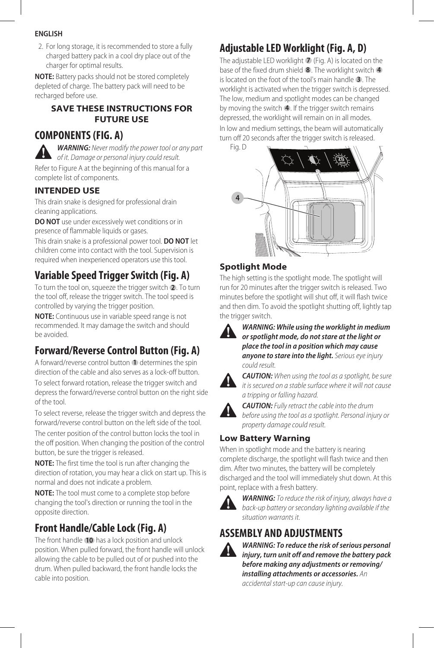#### **English**

2. For long storage, it is recommended to store a fully charged battery pack in a cool dry place out of the charger for optimal results.

**NOTE:** Battery packs should not be stored completely depleted of charge. The battery pack will need to be recharged before use.

## **SAVE THESE INSTRUCTIONS FOR FUTURE USE**

**COMPONENTS (FIG. A)**<br> **A WARNING:** Never mode<br>
of it. Damage or person *WARNING: Never modify the power tool or any part of it. Damage or personal injury could result.* Refer to Figure A at the beginning of this manual for a complete list of components.

## **INTENDED USE**

This drain snake is designed for professional drain cleaning applications.

**DO NOT** use under excessively wet conditions or in presence of flammable liquids or gases.

This drain snake is a professional power tool. **DO NOT** let children come into contact with the tool. Supervision is required when inexperienced operators use this tool.

## **Variable Speed Trigger Switch (Fig. A)**

To turn the tool on, squeeze the trigger switch <sup>2</sup>. To turn the tool off, release the trigger switch. The tool speed is controlled by varying the trigger position.

**NOTE:** Continuous use in variable speed range is not recommended. It may damage the switch and should be avoided.

## **Forward/Reverse Control Button (Fig. A)**

A forward/reverse control button  **1**  determines the spin direction of the cable and also serves as a lock-off button.

To select forward rotation, release the trigger switch and depress the forward/reverse control button on the right side of the tool.

To select reverse, release the trigger switch and depress the forward/reverse control button on the left side of the tool.

The center position of the control button locks the tool in the off position. When changing the position of the control button, be sure the trigger is released.

**NOTE:** The first time the tool is run after changing the direction of rotation, you may hear a click on start up. This is normal and does not indicate a problem.

**NOTE:** The tool must come to a complete stop before changing the tool's direction or running the tool in the opposite direction.

## **Front Handle/Cable Lock (Fig. A)**

The front handle  **10** has a lock position and unlock position. When pulled forward, the front handle will unlock allowing the cable to be pulled out of or pushed into the drum. When pulled backward, the front handle locks the cable into position.

# **Adjustable LED Worklight (Fig. A, D)**

The adjustable LED worklight  $\sigma$  (Fig. A) is located on the base of the fixed drum shield  **8** . The worklight switch  **4**  is located on the foot of the tool's main handle  **3** . The worklight is activated when the trigger switch is depressed. The low, medium and spotlight modes can be changed by moving the switch 4. If the trigger switch remains depressed, the worklight will remain on in all modes. In low and medium settings, the beam will automatically turn off 20 seconds after the trigger switch is released.



## **Spotlight Mode**

The high setting is the spotlight mode. The spotlight will run for 20 minutes after the trigger switch is released. Two minutes before the spotlight will shut off, it will flash twice and then dim. To avoid the spotlight shutting off, lightly tap



the trigger switch.<br>
WARNING<br>
or spotlig<br>
place the *WARNING: While using the worklight in medium or spotlight mode, do not stare at the light or place the tool in a position which may cause anyone to stare into the light. Serious eye injury could result.*



 *CAUTION: When using the tool as a spotlight, be sure it is secured on a stable surface where it will not cause a tripping or falling hazard.*



 *CAUTION: Fully retract the cable into the drum before using the tool as a spotlight. Personal injury or property damage could result.*

## **Low Battery Warning**

When in spotlight mode and the battery is nearing complete discharge, the spotlight will flash twice and then dim. After two minutes, the battery will be completely discharged and the tool will immediately shut down. At this



point, replace with a fresh battery.<br> **WARNING:** To reduce the r<br>
back-up battery or secondo *WARNING: To reduce the risk of injury, always have a back-up battery or secondary lighting available if the situation warrants it.*



**ASSEMBLY AND ADJUSTMENTS**<br> *WARNING: To reduce the risk of s<br>
injury, turn unit off and remove the form making any adjustments WARNING: To reduce the risk of serious personal injury, turn unit off and remove the battery pack before making any adjustments or removing/ installing attachments or accessories. An accidental start-up can cause injury.*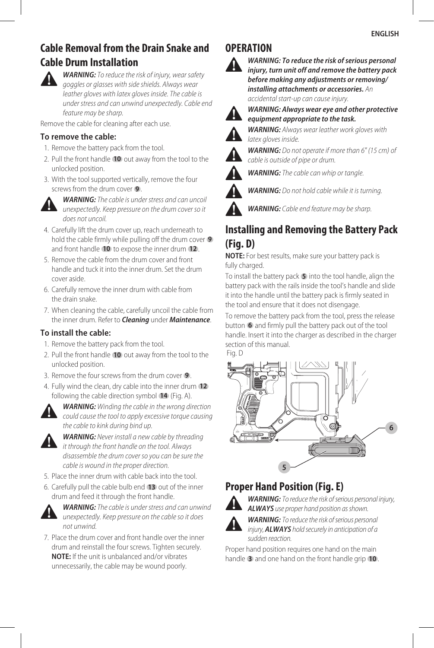# **Cable Removal from the Drain Snake and Cable Drum Installation**



 *WARNING: To reduce the risk of injury, wear safety goggles or glasses with side shields. Always wear leather gloves with latex gloves inside. The cable is under stress and can unwind unexpectedly. Cable end feature may be sharp.*

Remove the cable for cleaning after each use.

### **To remove the cable:**

- 1. Remove the battery pack from the tool.
- 2. Pull the front handle  **10** out away from the tool to the unlocked position.
- 3. With the tool supported vertically, remove the four screws from the drum cover **9**



 *WARNING: The cable is under stress and can uncoil unexpectedly. Keep pressure on the drum cover so it does not uncoil.*

- 4. Carefully lift the drum cover up, reach underneath to hold the cable firmly while pulling off the drum cover  $\bullet$ and front handle  **10** to expose the inner drum  **12** .
- 5. Remove the cable from the drum cover and front handle and tuck it into the inner drum. Set the drum cover aside.
- 6. Carefully remove the inner drum with cable from the drain snake.
- 7. When cleaning the cable, carefully uncoil the cable from the inner drum. Refer to *Cleaning* under *Maintenance*.

### **To install the cable:**

- 1. Remove the battery pack from the tool.
- 2. Pull the front handle  **10** out away from the tool to the unlocked position.
- 3. Remove the four screws from the drum cover  **9** .
- 4. Fully wind the clean, dry cable into the inner drum  **12**  following the cable direction symbol  **14** (Fig. A).



 *WARNING: Winding the cable in the wrong direction could cause the tool to apply excessive torque causing the cable to kink during bind up.*



 *WARNING: Never install a new cable by threading it through the front handle on the tool. Always disassemble the drum cover so you can be sure the cable is wound in the proper direction.*

- 5. Place the inner drum with cable back into the tool.
- 6. Carefully pull the cable bulb end  **13**  out of the inner drum and feed it through the front handle.



 *WARNING: The cable is under stress and can unwind unexpectedly. Keep pressure on the cable so it does not unwind.*

7. Place the drum cover and front handle over the inner drum and reinstall the four screws. Tighten securely. **NOTE:** If the unit is unbalanced and/or vibrates unnecessarily, the cable may be wound poorly.

# **OPERATION**



 *WARNING: To reduce the risk of serious personal injury, turn unit off and remove the battery pack before making any adjustments or removing/ installing attachments or accessories. An accidental start-up can cause injury.*

*WARNING: Always wear eye and other protective* 

*latex gloves inside.*



*equipment appropriate to the task. WARNING: Always wear leather work gloves with* 



 *WARNING: Do not operate if more than 6" (15 cm) of cable is outside of pipe or drum.*



*WARNING: The cable can whip or tangle.*



*WARNING: Do not hold cable while it is turning.*

*WARNING: Cable end feature may be sharp.*

# **Installing and Removing the Battery Pack (Fig. D)**

**NOTE:** For best results, make sure your battery pack is fully charged.

To install the battery pack  **5**  into the tool handle, align the battery pack with the rails inside the tool's handle and slide it into the handle until the battery pack is firmly seated in the tool and ensure that it does not disengage.

To remove the battery pack from the tool, press the release button  **6**  and firmly pull the battery pack out of the tool handle. Insert it into the charger as described in the charger section of this manual.





**Proper Hand Position (Fig. E)**<br>WARNING: To reduce the risk of server ALWAYS use proper hand position of *WARNING: To reduce the risk of serious personal injury, ALWAYS use proper hand position as shown.* 

 *WARNING: To reduce the risk of serious personal injury, ALWAYS hold securely in anticipation of a sudden reaction.*

Proper hand position requires one hand on the main handle  **3**  and one hand on the front handle grip  **10** .